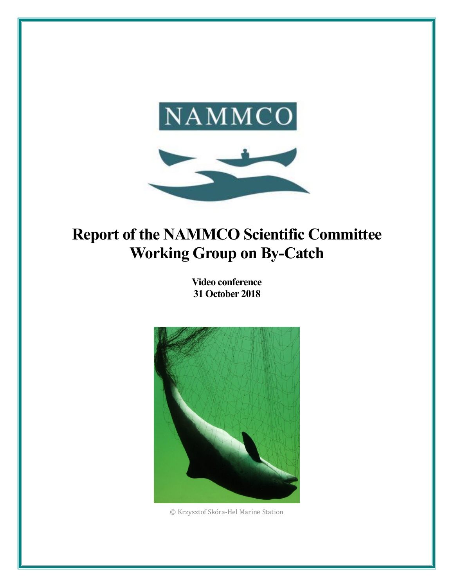

# **Report of the NAMMCO Scientific Committee Working Group on By-Catch**

**Video conference 31 October 2018**



© Krzysztof Skóra-Hel Marine Station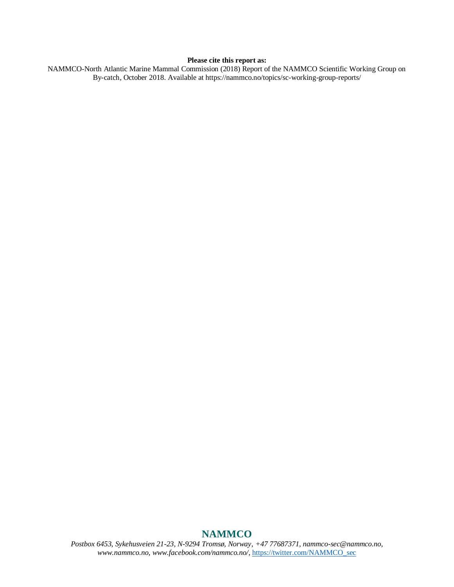#### **Please cite this report as:**

NAMMCO-North Atlantic Marine Mammal Commission (2018) Report of the NAMMCO Scientific Working Group on By-catch, October 2018. Available at https://nammco.no/topics/sc-working-group-reports/

## **NAMMCO**

*Postbox 6453, Sykehusveien 21-23, N-9294 Tromsø, Norway, +47 77687371, nammco-sec@nammco.no, www.nammco.no, [www.facebook.com/nammco.no/,](http://www.facebook.com/nammco.no/)* [https://twitter.com/NAMMCO\\_sec](https://twitter.com/NAMMCO_sec)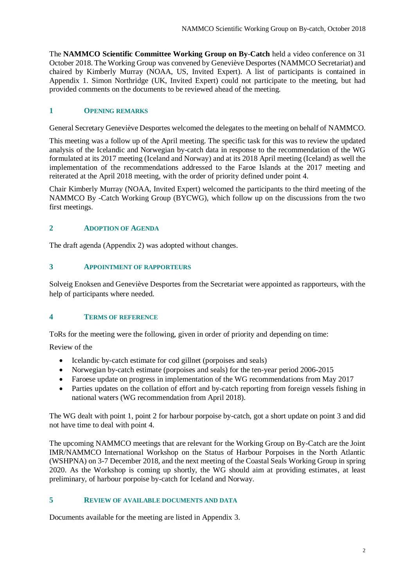The **NAMMCO Scientific Committee Working Group on By-Catch** held a video conference on 31 October 2018. The Working Group was convened by Geneviève Desportes (NAMMCO Secretariat) and chaired by Kimberly Murray (NOAA, US, Invited Expert). A list of participants is contained in Appendix 1. Simon Northridge (UK, Invited Expert) could not participate to the meeting, but had provided comments on the documents to be reviewed ahead of the meeting.

## **1 OPENING REMARKS**

General Secretary Geneviève Desportes welcomed the delegates to the meeting on behalf of NAMMCO.

This meeting was a follow up of the April meeting. The specific task for this was to review the updated analysis of the Icelandic and Norwegian by-catch data in response to the recommendation of the WG formulated at its 2017 meeting (Iceland and Norway) and at its 2018 April meeting (Iceland) as well the implementation of the recommendations addressed to the Faroe Islands at the 2017 meeting and reiterated at the April 2018 meeting, with the order of priority defined under point 4.

Chair Kimberly Murray (NOAA, Invited Expert) welcomed the participants to the third meeting of the NAMMCO By -Catch Working Group (BYCWG), which follow up on the discussions from the two first meetings.

#### **2 ADOPTION OF AGENDA**

The draft agenda (Appendix 2) was adopted without changes.

#### **3 APPOINTMENT OF RAPPORTEURS**

Solveig Enoksen and Geneviève Desportes from the Secretariat were appointed as rapporteurs, with the help of participants where needed.

#### **4 TERMS OF REFERENCE**

ToRs for the meeting were the following, given in order of priority and depending on time:

Review of the

- Icelandic by-catch estimate for cod gillnet (porpoises and seals)
- Norwegian by-catch estimate (porpoises and seals) for the ten-year period 2006-2015
- Faroese update on progress in implementation of the WG recommendations from May 2017
- Parties updates on the collation of effort and by-catch reporting from foreign vessels fishing in national waters (WG recommendation from April 2018).

The WG dealt with point 1, point 2 for harbour porpoise by-catch, got a short update on point 3 and did not have time to deal with point 4.

The upcoming NAMMCO meetings that are relevant for the Working Group on By-Catch are the Joint IMR/NAMMCO International Workshop on the Status of Harbour Porpoises in the North Atlantic (WSHPNA) on 3-7 December 2018, and the next meeting of the Coastal Seals Working Group in spring 2020. As the Workshop is coming up shortly, the WG should aim at providing estimates, at least preliminary, of harbour porpoise by-catch for Iceland and Norway.

## **5 REVIEW OF AVAILABLE DOCUMENTS AND DATA**

Documents available for the meeting are listed in Appendix 3.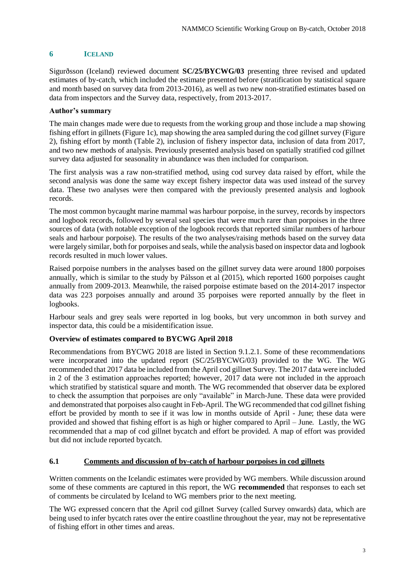## **6 ICELAND**

Sigurðsson (Iceland) reviewed document **SC/25/BYCWG/03** presenting three revised and updated estimates of by-catch, which included the estimate presented before (stratification by statistical square and month based on survey data from 2013-2016), as well as two new non-stratified estimates based on data from inspectors and the Survey data, respectively, from 2013-2017.

#### **Author's summary**

The main changes made were due to requests from the working group and those include a map showing fishing effort in gillnets (Figure 1c), map showing the area sampled during the cod gillnet survey (Figure 2), fishing effort by month (Table 2), inclusion of fishery inspector data, inclusion of data from 2017, and two new methods of analysis. Previously presented analysis based on spatially stratified cod gillnet survey data adjusted for seasonality in abundance was then included for comparison.

The first analysis was a raw non-stratified method, using cod survey data raised by effort, while the second analysis was done the same way except fishery inspector data was used instead of the survey data. These two analyses were then compared with the previously presented analysis and logbook records.

The most common bycaught marine mammal was harbour porpoise, in the survey, records by inspectors and logbook records, followed by several seal species that were much rarer than porpoises in the three sources of data (with notable exception of the logbook records that reported similar numbers of harbour seals and harbour porpoise). The results of the two analyses/raising methods based on the survey data were largely similar, both for porpoises and seals, while the analysis based on inspector data and logbook records resulted in much lower values.

Raised porpoise numbers in the analyses based on the gillnet survey data were around 1800 porpoises annually, which is similar to the study by Pálsson et al (2015), which reported 1600 porpoises caught annually from 2009-2013. Meanwhile, the raised porpoise estimate based on the 2014-2017 inspector data was 223 porpoises annually and around 35 porpoises were reported annually by the fleet in logbooks.

Harbour seals and grey seals were reported in log books, but very uncommon in both survey and inspector data, this could be a misidentification issue.

## **Overview of estimates compared to BYCWG April 2018**

Recommendations from BYCWG 2018 are listed in Section 9.1.2.1. Some of these recommendations were incorporated into the updated report (SC/25/BYCWG/03) provided to the WG. The WG recommended that 2017 data be included from the April cod gillnet Survey. The 2017 data were included in 2 of the 3 estimation approaches reported; however, 2017 data were not included in the approach which stratified by statistical square and month. The WG recommended that observer data be explored to check the assumption that porpoises are only "available" in March-June. These data were provided and demonstrated that porpoises also caught in Feb-April. The WG recommended that cod gillnet fishing effort be provided by month to see if it was low in months outside of April - June; these data were provided and showed that fishing effort is as high or higher compared to April – June. Lastly, the WG recommended that a map of cod gillnet bycatch and effort be provided. A map of effort was provided but did not include reported bycatch.

#### **6.1 Comments and discussion of by-catch of harbour porpoises in cod gillnets**

Written comments on the Icelandic estimates were provided by WG members. While discussion around some of these comments are captured in this report, the WG **recommended** that responses to each set of comments be circulated by Iceland to WG members prior to the next meeting.

The WG expressed concern that the April cod gillnet Survey (called Survey onwards) data, which are being used to infer bycatch rates over the entire coastline throughout the year, may not be representative of fishing effort in other times and areas.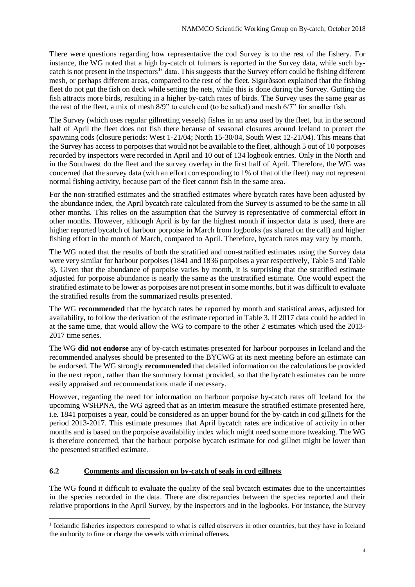There were questions regarding how representative the cod Survey is to the rest of the fishery. For instance, the WG noted that a high by-catch of fulmars is reported in the Survey data, while such bycatch is not present in the inspectors<sup>1</sup> data. This suggests that the Survey effort could be fishing different mesh, or perhaps different areas, compared to the rest of the fleet. Sigurðsson explained that the fishing fleet do not gut the fish on deck while setting the nets, while this is done during the Survey. Gutting the fish attracts more birds, resulting in a higher by-catch rates of birds. The Survey uses the same gear as the rest of the fleet, a mix of mesh 8/9" to catch cod (to be salted) and mesh 6/7" for smaller fish.

The Survey (which uses regular gillnetting vessels) fishes in an area used by the fleet, but in the second half of April the fleet does not fish there because of seasonal closures around Iceland to protect the spawning cods (closure periods: West 1-21/04; North 15-30/04, South West 12-21/04). This means that the Survey has access to porpoises that would not be available to the fleet, although 5 out of 10 porpoises recorded by inspectors were recorded in April and 10 out of 134 logbook entries. Only in the North and in the Southwest do the fleet and the survey overlap in the first half of April. Therefore, the WG was concerned that the survey data (with an effort corresponding to 1% of that of the fleet) may not represent normal fishing activity, because part of the fleet cannot fish in the same area.

For the non-stratified estimates and the stratified estimates where bycatch rates have been adjusted by the abundance index, the April bycatch rate calculated from the Survey is assumed to be the same in all other months. This relies on the assumption that the Survey is representative of commercial effort in other months. However, although April is by far the highest month if inspector data is used, there are higher reported bycatch of harbour porpoise in March from logbooks (as shared on the call) and higher fishing effort in the month of March, compared to April. Therefore, bycatch rates may vary by month.

The WG noted that the results of both the stratified and non-stratified estimates using the Survey data were very similar for harbour porpoises (1841 and 1836 porpoises a year respectively, Table 5 and Table 3). Given that the abundance of porpoise varies by month, it is surprising that the stratified estimate adjusted for porpoise abundance is nearly the same as the unstratified estimate. One would expect the stratified estimate to be lower as porpoises are not present in some months, but it was difficult to evaluate the stratified results from the summarized results presented.

The WG **recommended** that the bycatch rates be reported by month and statistical areas, adjusted for availability, to follow the derivation of the estimate reported in Table 3. If 2017 data could be added in at the same time, that would allow the WG to compare to the other 2 estimates which used the 2013- 2017 time series.

The WG **did not endorse** any of by-catch estimates presented for harbour porpoises in Iceland and the recommended analyses should be presented to the BYCWG at its next meeting before an estimate can be endorsed. The WG strongly **recommended** that detailed information on the calculations be provided in the next report, rather than the summary format provided, so that the bycatch estimates can be more easily appraised and recommendations made if necessary.

However, regarding the need for information on harbour porpoise by-catch rates off Iceland for the upcoming WSHPNA, the WG agreed that as an interim measure the stratified estimate presented here, i.e. 1841 porpoises a year, could be considered as an upper bound for the by-catch in cod gillnets for the period 2013-2017. This estimate presumes that April bycatch rates are indicative of activity in other months and is based on the porpoise availability index which might need some more tweaking. The WG is therefore concerned, that the harbour porpoise bycatch estimate for cod gillnet might be lower than the presented stratified estimate.

## **6.2 Comments and discussion on by-catch of seals in cod gillnets**

1

The WG found it difficult to evaluate the quality of the seal bycatch estimates due to the uncertainties in the species recorded in the data. There are discrepancies between the species reported and their relative proportions in the April Survey, by the inspectors and in the logbooks. For instance, the Survey

<sup>&</sup>lt;sup>1</sup> Icelandic fisheries inspectors correspond to what is called observers in other countries, but they have in Iceland the authority to fine or charge the vessels with criminal offenses.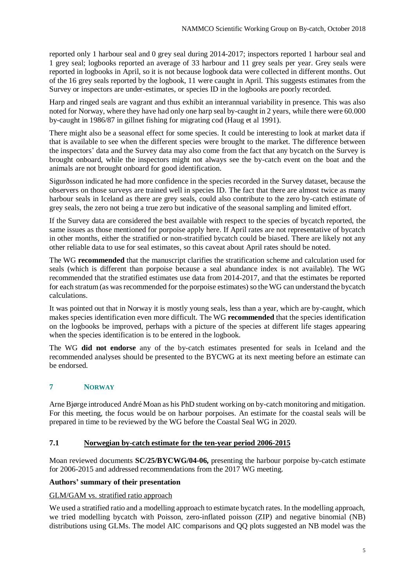reported only 1 harbour seal and 0 grey seal during 2014-2017; inspectors reported 1 harbour seal and 1 grey seal; logbooks reported an average of 33 harbour and 11 grey seals per year. Grey seals were reported in logbooks in April, so it is not because logbook data were collected in different months. Out of the 16 grey seals reported by the logbook, 11 were caught in April. This suggests estimates from the Survey or inspectors are under-estimates, or species ID in the logbooks are poorly recorded.

Harp and ringed seals are vagrant and thus exhibit an interannual variability in presence. This was also noted for Norway, where they have had only one harp seal by-caught in 2 years, while there were 60.000 by-caught in 1986/87 in gillnet fishing for migrating cod (Haug et al 1991).

There might also be a seasonal effect for some species. It could be interesting to look at market data if that is available to see when the different species were brought to the market. The difference between the inspectors' data and the Survey data may also come from the fact that any bycatch on the Survey is brought onboard, while the inspectors might not always see the by-catch event on the boat and the animals are not brought onboard for good identification.

Sigurðsson indicated he had more confidence in the species recorded in the Survey dataset, because the observers on those surveys are trained well in species ID. The fact that there are almost twice as many harbour seals in Iceland as there are grey seals, could also contribute to the zero by-catch estimate of grey seals, the zero not being a true zero but indicative of the seasonal sampling and limited effort.

If the Survey data are considered the best available with respect to the species of bycatch reported, the same issues as those mentioned for porpoise apply here. If April rates are not representative of bycatch in other months, either the stratified or non-stratified bycatch could be biased. There are likely not any other reliable data to use for seal estimates, so this caveat about April rates should be noted.

The WG **recommended** that the manuscript clarifies the stratification scheme and calculation used for seals (which is different than porpoise because a seal abundance index is not available). The WG recommended that the stratified estimates use data from 2014-2017, and that the estimates be reported for each stratum (as was recommended for the porpoise estimates) so the WG can understand the bycatch calculations.

It was pointed out that in Norway it is mostly young seals, less than a year, which are by-caught, which makes species identification even more difficult. The WG **recommended** that the species identification on the logbooks be improved, perhaps with a picture of the species at different life stages appearing when the species identification is to be entered in the logbook.

The WG **did not endorse** any of the by-catch estimates presented for seals in Iceland and the recommended analyses should be presented to the BYCWG at its next meeting before an estimate can be endorsed.

# **7 NORWAY**

Arne Bjørge introduced André Moan as his PhD student working on by-catch monitoring and mitigation. For this meeting, the focus would be on harbour porpoises. An estimate for the coastal seals will be prepared in time to be reviewed by the WG before the Coastal Seal WG in 2020.

## **7.1 Norwegian by-catch estimate for the ten-year period 2006-2015**

Moan reviewed documents **SC/25/BYCWG/04-06,** presenting the harbour porpoise by-catch estimate for 2006-2015 and addressed recommendations from the 2017 WG meeting.

#### **Authors' summary of their presentation**

#### GLM/GAM vs. stratified ratio approach

We used a stratified ratio and a modelling approach to estimate by catch rates. In the modelling approach, we tried modelling bycatch with Poisson, zero-inflated poisson (ZIP) and negative binomial (NB) distributions using GLMs. The model AIC comparisons and QQ plots suggested an NB model was the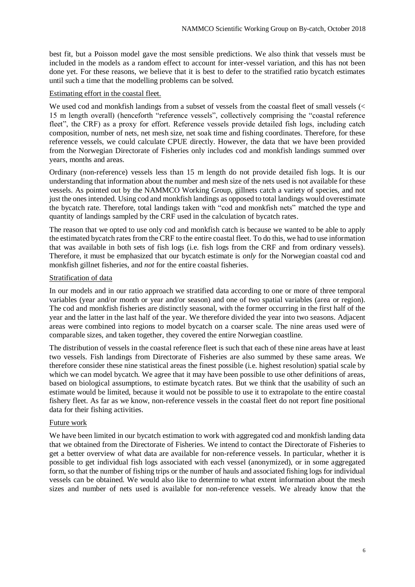best fit, but a Poisson model gave the most sensible predictions. We also think that vessels must be included in the models as a random effect to account for inter-vessel variation, and this has not been done yet. For these reasons, we believe that it is best to defer to the stratified ratio bycatch estimates until such a time that the modelling problems can be solved.

#### Estimating effort in the coastal fleet.

We used cod and monkfish landings from a subset of vessels from the coastal fleet of small vessels (< 15 m length overall) (henceforth "reference vessels", collectively comprising the "coastal reference fleet", the CRF) as a proxy for effort. Reference vessels provide detailed fish logs, including catch composition, number of nets, net mesh size, net soak time and fishing coordinates. Therefore, for these reference vessels, we could calculate CPUE directly. However, the data that we have been provided from the Norwegian Directorate of Fisheries only includes cod and monkfish landings summed over years, months and areas.

Ordinary (non-reference) vessels less than 15 m length do not provide detailed fish logs. It is our understanding that information about the number and mesh size of the nets used is not available for these vessels. As pointed out by the NAMMCO Working Group, gillnets catch a variety of species, and not just the ones intended. Using cod and monkfish landings as opposed to total landings would overestimate the bycatch rate. Therefore, total landings taken with "cod and monkfish nets" matched the type and quantity of landings sampled by the CRF used in the calculation of bycatch rates.

The reason that we opted to use only cod and monkfish catch is because we wanted to be able to apply the estimated bycatch rates from the CRF to the entire coastal fleet. To do this, we had to use information that was available in both sets of fish logs (i.e. fish logs from the CRF and from ordinary vessels). Therefore, it must be emphasized that our bycatch estimate is *only* for the Norwegian coastal cod and monkfish gillnet fisheries, and *not* for the entire coastal fisheries.

#### Stratification of data

In our models and in our ratio approach we stratified data according to one or more of three temporal variables (year and/or month or year and/or season) and one of two spatial variables (area or region). The cod and monkfish fisheries are distinctly seasonal, with the former occurring in the first half of the year and the latter in the last half of the year. We therefore divided the year into two seasons. Adjacent areas were combined into regions to model bycatch on a coarser scale. The nine areas used were of comparable sizes, and taken together, they covered the entire Norwegian coastline.

The distribution of vessels in the coastal reference fleet is such that each of these nine areas have at least two vessels. Fish landings from Directorate of Fisheries are also summed by these same areas. We therefore consider these nine statistical areas the finest possible (i.e. highest resolution) spatial scale by which we can model bycatch. We agree that it may have been possible to use other definitions of areas, based on biological assumptions, to estimate bycatch rates. But we think that the usability of such an estimate would be limited, because it would not be possible to use it to extrapolate to the entire coastal fishery fleet. As far as we know, non-reference vessels in the coastal fleet do not report fine positional data for their fishing activities.

#### Future work

We have been limited in our bycatch estimation to work with aggregated cod and monkfish landing data that we obtained from the Directorate of Fisheries. We intend to contact the Directorate of Fisheries to get a better overview of what data are available for non-reference vessels. In particular, whether it is possible to get individual fish logs associated with each vessel (anonymized), or in some aggregated form, so that the number of fishing trips or the number of hauls and associated fishing logs for individual vessels can be obtained. We would also like to determine to what extent information about the mesh sizes and number of nets used is available for non-reference vessels. We already know that the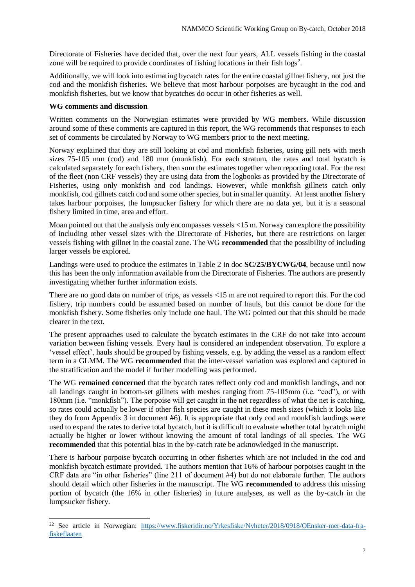Directorate of Fisheries have decided that, over the next four years, ALL vessels fishing in the coastal zone will be required to provide coordinates of fishing locations in their fish  $\log s^2$ .

Additionally, we will look into estimating bycatch rates for the entire coastal gillnet fishery, not just the cod and the monkfish fisheries. We believe that most harbour porpoises are bycaught in the cod and monkfish fisheries, but we know that bycatches do occur in other fisheries as well.

#### **WG comments and discussion**

1

Written comments on the Norwegian estimates were provided by WG members. While discussion around some of these comments are captured in this report, the WG recommends that responses to each set of comments be circulated by Norway to WG members prior to the next meeting.

Norway explained that they are still looking at cod and monkfish fisheries, using gill nets with mesh sizes 75-105 mm (cod) and 180 mm (monkfish). For each stratum, the rates and total bycatch is calculated separately for each fishery, then sum the estimates together when reporting total. For the rest of the fleet (non CRF vessels) they are using data from the logbooks as provided by the Directorate of Fisheries, using only monkfish and cod landings. However, while monkfish gillnets catch only monkfish, cod gillnets catch cod and some other species, but in smaller quantity. At least another fishery takes harbour porpoises, the lumpsucker fishery for which there are no data yet, but it is a seasonal fishery limited in time, area and effort.

Moan pointed out that the analysis only encompasses vessels <15 m. Norway can explore the possibility of including other vessel sizes with the Directorate of Fisheries, but there are restrictions on larger vessels fishing with gillnet in the coastal zone. The WG **recommended** that the possibility of including larger vessels be explored.

Landings were used to produce the estimates in Table 2 in doc **SC/25/BYCWG/04**, because until now this has been the only information available from the Directorate of Fisheries. The authors are presently investigating whether further information exists.

There are no good data on number of trips, as vessels <15 m are not required to report this. For the cod fishery, trip numbers could be assumed based on number of hauls, but this cannot be done for the monkfish fishery. Some fisheries only include one haul. The WG pointed out that this should be made clearer in the text.

The present approaches used to calculate the bycatch estimates in the CRF do not take into account variation between fishing vessels. Every haul is considered an independent observation. To explore a 'vessel effect', hauls should be grouped by fishing vessels, e.g. by adding the vessel as a random effect term in a GLMM. The WG **recommended** that the inter-vessel variation was explored and captured in the stratification and the model if further modelling was performed.

The WG **remained concerned** that the bycatch rates reflect only cod and monkfish landings, and not all landings caught in bottom-set gillnets with meshes ranging from 75-105mm (i.e. "cod"), or with 180mm (i.e. "monkfish"). The porpoise will get caught in the net regardless of what the net is catching, so rates could actually be lower if other fish species are caught in these mesh sizes (which it looks like they do from Appendix 3 in document #6). It is appropriate that only cod and monkfish landings were used to expand the rates to derive total bycatch, but it is difficult to evaluate whether total bycatch might actually be higher or lower without knowing the amount of total landings of all species. The WG **recommended** that this potential bias in the by-catch rate be acknowledged in the manuscript.

There is harbour porpoise bycatch occurring in other fisheries which are not included in the cod and monkfish bycatch estimate provided. The authors mention that 16% of harbour porpoises caught in the CRF data are "in other fisheries" (line 211 of document #4) but do not elaborate further. The authors should detail which other fisheries in the manuscript. The WG **recommended** to address this missing portion of bycatch (the 16% in other fisheries) in future analyses, as well as the by-catch in the lumpsucker fishery.

<sup>&</sup>lt;sup>22</sup> See article in Norwegian: [https://www.fiskeridir.no/Yrkesfiske/Nyheter/2018/0918/OEnsker-mer-data-fra](https://www.fiskeridir.no/Yrkesfiske/Nyheter/2018/0918/OEnsker-mer-data-fra-fiskeflaaten)[fiskeflaaten](https://www.fiskeridir.no/Yrkesfiske/Nyheter/2018/0918/OEnsker-mer-data-fra-fiskeflaaten)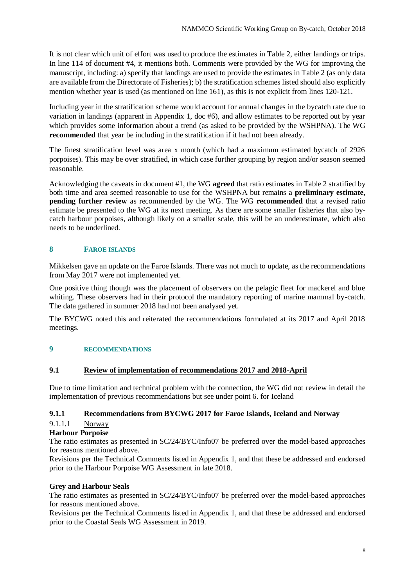It is not clear which unit of effort was used to produce the estimates in Table 2, either landings or trips. In line 114 of document #4, it mentions both. Comments were provided by the WG for improving the manuscript, including: a) specify that landings are used to provide the estimates in Table 2 (as only data are available from the Directorate of Fisheries); b) the stratification schemes listed should also explicitly mention whether year is used (as mentioned on line 161), as this is not explicit from lines 120-121.

Including year in the stratification scheme would account for annual changes in the bycatch rate due to variation in landings (apparent in Appendix 1, doc #6), and allow estimates to be reported out by year which provides some information about a trend (as asked to be provided by the WSHPNA). The WG **recommended** that year be including in the stratification if it had not been already.

The finest stratification level was area x month (which had a maximum estimated bycatch of 2926 porpoises). This may be over stratified, in which case further grouping by region and/or season seemed reasonable.

Acknowledging the caveats in document #1, the WG **agreed** that ratio estimates in Table 2 stratified by both time and area seemed reasonable to use for the WSHPNA but remains a **preliminary estimate, pending further review** as recommended by the WG. The WG **recommended** that a revised ratio estimate be presented to the WG at its next meeting. As there are some smaller fisheries that also bycatch harbour porpoises, although likely on a smaller scale, this will be an underestimate, which also needs to be underlined.

## **8 FAROE ISLANDS**

Mikkelsen gave an update on the Faroe Islands. There was not much to update, as the recommendations from May 2017 were not implemented yet.

One positive thing though was the placement of observers on the pelagic fleet for mackerel and blue whiting. These observers had in their protocol the mandatory reporting of marine mammal by-catch. The data gathered in summer 2018 had not been analysed yet.

The BYCWG noted this and reiterated the recommendations formulated at its 2017 and April 2018 meetings.

#### **9 RECOMMENDATIONS**

#### **9.1 Review of implementation of recommendations 2017 and 2018-April**

Due to time limitation and technical problem with the connection, the WG did not review in detail the implementation of previous recommendations but see under point 6. for Iceland

#### **9.1.1 Recommendations from BYCWG 2017 for Faroe Islands, Iceland and Norway**

## 9.1.1.1 Norway

#### **Harbour Porpoise**

The ratio estimates as presented in SC/24/BYC/Info07 be preferred over the model-based approaches for reasons mentioned above.

Revisions per the Technical Comments listed in Appendix 1, and that these be addressed and endorsed prior to the Harbour Porpoise WG Assessment in late 2018.

#### **Grey and Harbour Seals**

The ratio estimates as presented in SC/24/BYC/Info07 be preferred over the model-based approaches for reasons mentioned above.

Revisions per the Technical Comments listed in Appendix 1, and that these be addressed and endorsed prior to the Coastal Seals WG Assessment in 2019.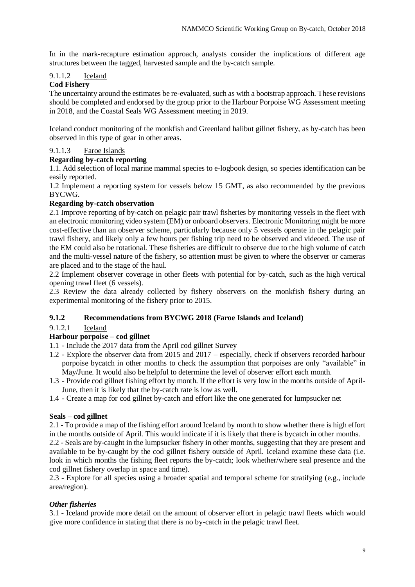In in the mark-recapture estimation approach, analysts consider the implications of different age structures between the tagged, harvested sample and the by-catch sample.

## 9.1.1.2 Iceland

#### **Cod Fishery**

The uncertainty around the estimates be re-evaluated, such as with a bootstrap approach. These revisions should be completed and endorsed by the group prior to the Harbour Porpoise WG Assessment meeting in 2018, and the Coastal Seals WG Assessment meeting in 2019.

Iceland conduct monitoring of the monkfish and Greenland halibut gillnet fishery, as by-catch has been observed in this type of gear in other areas.

#### 9.1.1.3 Faroe Islands

#### **Regarding by-catch reporting**

1.1. Add selection of local marine mammal species to e-logbook design, so species identification can be easily reported.

1.2 Implement a reporting system for vessels below 15 GMT, as also recommended by the previous BYCWG.

## **Regarding by-catch observation**

2.1 Improve reporting of by-catch on pelagic pair trawl fisheries by monitoring vessels in the fleet with an electronic monitoring video system (EM) or onboard observers. Electronic Monitoring might be more cost-effective than an observer scheme, particularly because only 5 vessels operate in the pelagic pair trawl fishery, and likely only a few hours per fishing trip need to be observed and videoed. The use of the EM could also be rotational. These fisheries are difficult to observe due to the high volume of catch and the multi-vessel nature of the fishery, so attention must be given to where the observer or cameras are placed and to the stage of the haul.

2.2 Implement observer coverage in other fleets with potential for by-catch, such as the high vertical opening trawl fleet (6 vessels).

2.3 Review the data already collected by fishery observers on the monkfish fishery during an experimental monitoring of the fishery prior to 2015.

## **9.1.2 Recommendations from BYCWG 2018 (Faroe Islands and Iceland)**

#### 9.1.2.1 Iceland

## **Harbour porpoise – cod gillnet**

- 1.1 Include the 2017 data from the April cod gillnet Survey
- 1.2 Explore the observer data from 2015 and 2017 especially, check if observers recorded harbour porpoise bycatch in other months to check the assumption that porpoises are only "available" in May/June. It would also be helpful to determine the level of observer effort each month.
- 1.3 Provide cod gillnet fishing effort by month. If the effort is very low in the months outside of April-June, then it is likely that the by-catch rate is low as well.
- 1.4 Create a map for cod gillnet by-catch and effort like the one generated for lumpsucker net

#### **Seals – cod gillnet**

2.1 - To provide a map of the fishing effort around Iceland by month to show whether there is high effort in the months outside of April. This would indicate if it is likely that there is bycatch in other months.

2.2 - Seals are by-caught in the lumpsucker fishery in other months, suggesting that they are present and available to be by-caught by the cod gillnet fishery outside of April. Iceland examine these data (i.e. look in which months the fishing fleet reports the by-catch; look whether/where seal presence and the cod gillnet fishery overlap in space and time).

2.3 - Explore for all species using a broader spatial and temporal scheme for stratifying (e.g., include area/region).

#### *Other fisheries*

3.1 - Iceland provide more detail on the amount of observer effort in pelagic trawl fleets which would give more confidence in stating that there is no by-catch in the pelagic trawl fleet.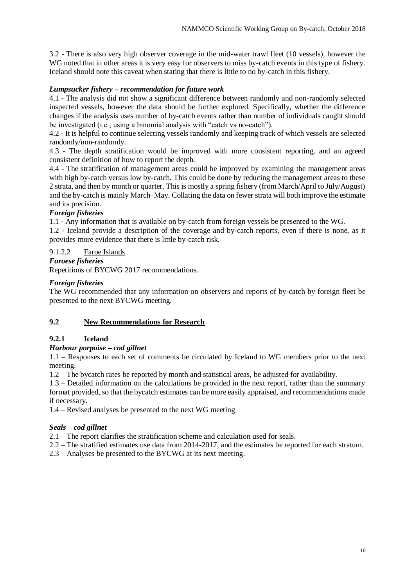3.2 - There is also very high observer coverage in the mid-water trawl fleet (10 vessels), however the WG noted that in other areas it is very easy for observers to miss by-catch events in this type of fishery. Iceland should note this caveat when stating that there is little to no by-catch in this fishery.

## *Lumpsucker fishery – recommendation for future work*

4.1 - The analysis did not show a significant difference between randomly and non-randomly selected inspected vessels, however the data should be further explored. Specifically, whether the difference changes if the analysis uses number of by-catch events rather than number of individuals caught should be investigated (i.e., using a binomial analysis with "catch vs no-catch").

4.2 - It is helpful to continue selecting vessels randomly and keeping track of which vessels are selected randomly/non-randomly.

4.3 - The depth stratification would be improved with more consistent reporting, and an agreed consistent definition of how to report the depth.

4.4 - The stratification of management areas could be improved by examining the management areas with high by-catch versus low by-catch. This could be done by reducing the management areas to these 2 strata, and then by month or quarter. This is mostly a spring fishery (from March/April to July/August) and the by-catch is mainly March–May. Collating the data on fewer strata will both improve the estimate and its precision.

## *Foreign fisheries*

1.1 - Any information that is available on by-catch from foreign vessels be presented to the WG.

1.2 - Iceland provide a description of the coverage and by-catch reports, even if there is none, as it provides more evidence that there is little by-catch risk.

## 9.1.2.2 Faroe Islands

#### *Faroese fisheries*

Repetitions of BYCWG 2017 recommendations.

## *Foreign fisheries*

The WG recommended that any information on observers and reports of by-catch by foreign fleet be presented to the next BYCWG meeting.

## **9.2 New Recommendations for Research**

## **9.2.1 Iceland**

## *Harbour porpoise – cod gillnet*

1.1 – Responses to each set of comments be circulated by Iceland to WG members prior to the next meeting.

1.2 – The bycatch rates be reported by month and statistical areas, be adjusted for availability.

1.3 – Detailed information on the calculations be provided in the next report, rather than the summary format provided, so that the bycatch estimates can be more easily appraised, and recommendations made if necessary.

1.4 – Revised analyses be presented to the next WG meeting

## *Seals – cod gillnet*

2.1 – The report clarifies the stratification scheme and calculation used for seals.

2.2 – The stratified estimates use data from 2014-2017, and the estimates be reported for each stratum.

2.3 – Analyses be presented to the BYCWG at its next meeting.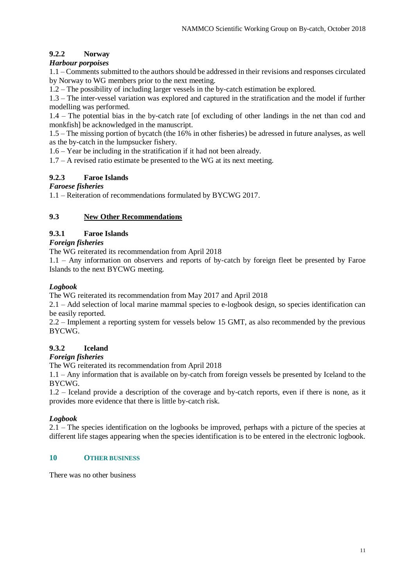# **9.2.2 Norway**

# *Harbour porpoises*

1.1 – Comments submitted to the authors should be addressed in their revisions and responses circulated by Norway to WG members prior to the next meeting.

1.2 – The possibility of including larger vessels in the by-catch estimation be explored.

1.3 – The inter-vessel variation was explored and captured in the stratification and the model if further modelling was performed.

1.4 – The potential bias in the by-catch rate [of excluding of other landings in the net than cod and monkfish] be acknowledged in the manuscript.

1.5 – The missing portion of bycatch (the 16% in other fisheries) be adressed in future analyses, as well as the by-catch in the lumpsucker fishery.

1.6 – Year be including in the stratification if it had not been already.

 $1.7 - A$  revised ratio estimate be presented to the WG at its next meeting.

# **9.2.3 Faroe Islands**

# *Faroese fisheries*

1.1 – Reiteration of recommendations formulated by BYCWG 2017.

# **9.3 New Other Recommendations**

# **9.3.1 Faroe Islands**

*Foreign fisheries*

The WG reiterated its recommendation from April 2018

1.1 – Any information on observers and reports of by-catch by foreign fleet be presented by Faroe Islands to the next BYCWG meeting.

# *Logbook*

The WG reiterated its recommendation from May 2017 and April 2018

2.1 – Add selection of local marine mammal species to e-logbook design, so species identification can be easily reported.

2.2 – Implement a reporting system for vessels below 15 GMT, as also recommended by the previous BYCWG.

# **9.3.2 Iceland**

## *Foreign fisheries*

The WG reiterated its recommendation from April 2018

1.1 – Any information that is available on by-catch from foreign vessels be presented by Iceland to the BYCWG.

1.2 – Iceland provide a description of the coverage and by-catch reports, even if there is none, as it provides more evidence that there is little by-catch risk.

# *Logbook*

2.1 – The species identification on the logbooks be improved, perhaps with a picture of the species at different life stages appearing when the species identification is to be entered in the electronic logbook.

## **10 OTHER BUSINESS**

There was no other business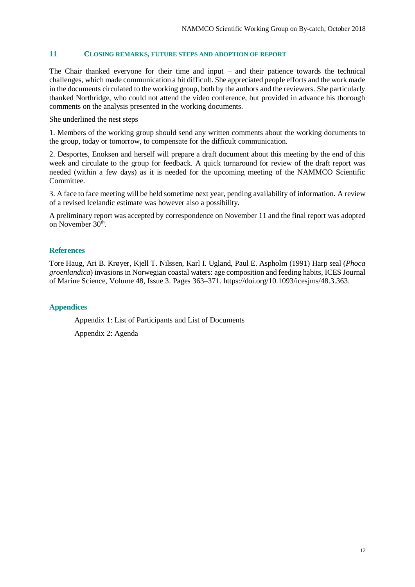#### **11 CLOSING REMARKS, FUTURE STEPS AND ADOPTION OF REPORT**

The Chair thanked everyone for their time and input – and their patience towards the technical challenges, which made communication a bit difficult. She appreciated people efforts and the work made in the documents circulated to the working group, both by the authors and the reviewers. She particularly thanked Northridge, who could not attend the video conference, but provided in advance his thorough comments on the analysis presented in the working documents.

She underlined the nest steps

1. Members of the working group should send any written comments about the working documents to the group, today or tomorrow, to compensate for the difficult communication.

2. Desportes, Enoksen and herself will prepare a draft document about this meeting by the end of this week and circulate to the group for feedback. A quick turnaround for review of the draft report was needed (within a few days) as it is needed for the upcoming meeting of the NAMMCO Scientific Committee.

3. A face to face meeting will be held sometime next year, pending availability of information. A review of a revised Icelandic estimate was however also a possibility.

A preliminary report was accepted by correspondence on November 11 and the final report was adopted on November  $30<sup>th</sup>$ .

#### **References**

Tore Haug, Ari B. Krøyer, Kjell T. Nilssen, Karl I. Ugland, Paul E. Aspholm (1991) Harp seal (*Phoca groenlandica*) invasions in Norwegian coastal waters: age composition and feeding habits, ICES Journal of Marine Science, Volume 48, Issue 3. Pages 363–371. https://doi.org/10.1093/icesjms/48.3.363.

#### **Appendices**

Appendix 1: List of Participants and List of Documents

Appendix 2: Agenda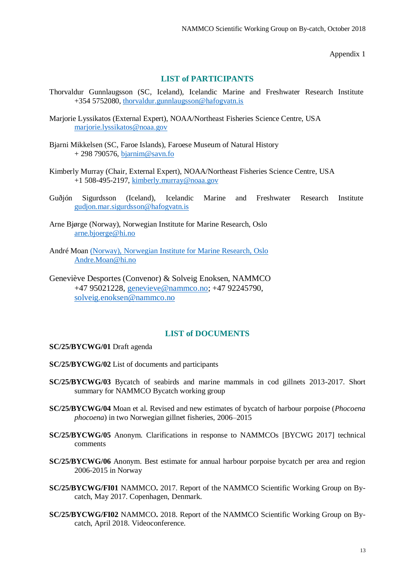Appendix 1

#### **LIST of PARTICIPANTS**

- Thorvaldur Gunnlaugsson (SC, Iceland), Icelandic Marine and Freshwater Research Institute +354 5752080, [thorvaldur.gunnlaugsson@hafogvatn.is](mailto:thorvaldur.gunnlaugsson@hafogvatn.is)
- Marjorie Lyssikatos (External Expert), NOAA/Northeast Fisheries Science Centre, USA [marjorie.lyssikatos@noaa.gov](mailto:marjorie.lyssikatos@noaa.gov)
- Bjarni Mikkelsen (SC, Faroe Islands), Faroese Museum of Natural History + 298 790576, [bjarnim@savn.fo](mailto:bjarnim@savn.fo)
- Kimberly Murray (Chair, External Expert), NOAA/Northeast Fisheries Science Centre, USA +1 508-495-2197, [kimberly.murray@noaa.gov](mailto:kimberly.murray@noaa.gov)
- Guðjón Sigurdsson (Iceland), Icelandic Marine and Freshwater Research Institute [gudjon.mar.sigurdsson@hafogvatn.is](mailto:gudjon.mar.sigurdsson@hafogvatn.is)
- Arne Bjørge (Norway), Norwegian Institute for Marine Research, Oslo [arne.bjoerge@hi.no](mailto:arne.bjoerge@hi.no)
- André Moan (Norway), Norwegian Institute for Marine Research, Oslo [Andre.Moan@hi.no](mailto:Andre.Moan@hi.no)
- Geneviève Desportes (Convenor) & Solveig Enoksen, NAMMCO +47 95021228, [genevieve@nammco.no;](mailto:genevieve@nammco.no) +47 92245790, [solveig.enoksen@nammco.no](mailto:solveig.enoksen@nammco.no)

#### **LIST of DOCUMENTS**

#### **SC/25/BYCWG/01** Draft agenda

- **SC/25/BYCWG/02** List of documents and participants
- **SC/25/BYCWG/03** Bycatch of seabirds and marine mammals in cod gillnets 2013-2017. Short summary for NAMMCO Bycatch working group
- **SC/25/BYCWG/04** Moan et al. Revised and new estimates of bycatch of harbour porpoise (*Phocoena phocoena*) in two Norwegian gillnet fisheries, 2006–2015
- **SC/25/BYCWG/05** Anonym. Clarifications in response to NAMMCOs [BYCWG 2017] technical comments
- **SC/25/BYCWG/06** Anonym. Best estimate for annual harbour porpoise bycatch per area and region 2006-2015 in Norway
- **SC/25/BYCWG/FI01** NAMMCO**.** 2017. Report of the NAMMCO Scientific Working Group on Bycatch, May 2017. Copenhagen, Denmark.
- **SC/25/BYCWG/FI02** NAMMCO**.** 2018. Report of the NAMMCO Scientific Working Group on Bycatch, April 2018. Videoconference.